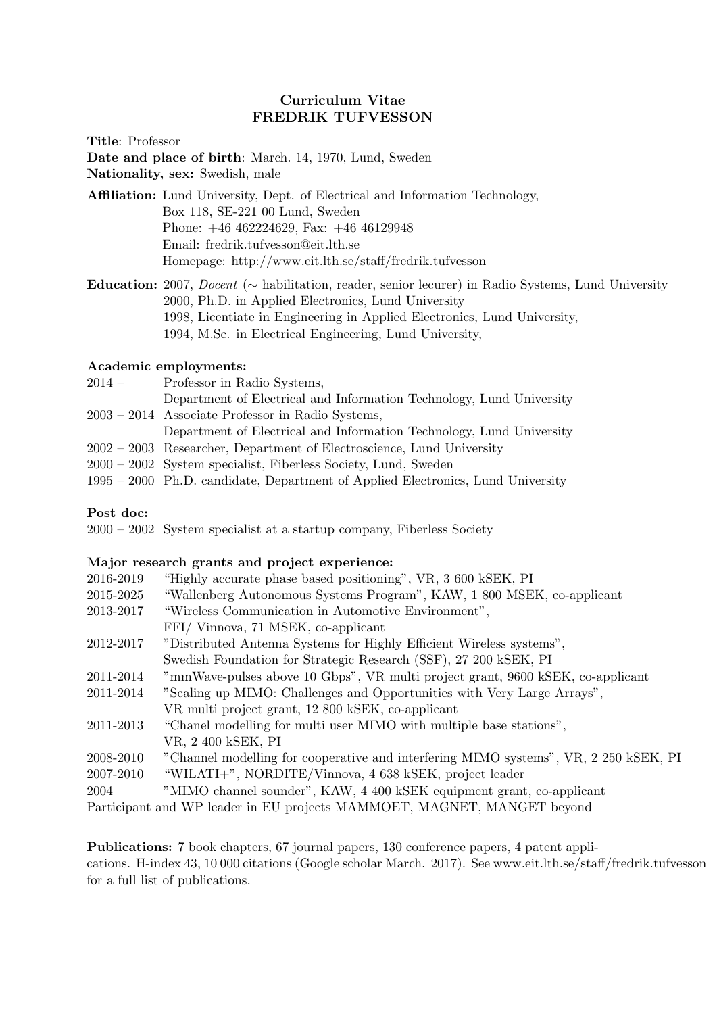# Curriculum Vitae FREDRIK TUFVESSON

Title: Professor

Date and place of birth: March. 14, 1970, Lund, Sweden

Nationality, sex: Swedish, male

Affiliation: Lund University, Dept. of Electrical and Information Technology, Box 118, SE-221 00 Lund, Sweden Phone: +46 462224629, Fax: +46 46129948 Email: fredrik.tufvesson@eit.lth.se Homepage: http://www.eit.lth.se/staff/fredrik.tufvesson

Education: 2007, Docent (∼ habilitation, reader, senior lecurer) in Radio Systems, Lund University 2000, Ph.D. in Applied Electronics, Lund University 1998, Licentiate in Engineering in Applied Electronics, Lund University, 1994, M.Sc. in Electrical Engineering, Lund University,

## Academic employments:

| $2014-$ | Professor in Radio Systems,                                                     |
|---------|---------------------------------------------------------------------------------|
|         | Department of Electrical and Information Technology, Lund University            |
|         | 2003 – 2014 Associate Professor in Radio Systems,                               |
|         | Department of Electrical and Information Technology, Lund University            |
|         | 2002 – 2003 Researcher, Department of Electroscience, Lund University           |
|         | 2000 – 2002 System specialist, Fiberless Society, Lund, Sweden                  |
|         | 1995 – 2000 Ph.D. candidate, Department of Applied Electronics, Lund University |

## Post doc:

2000 – 2002 System specialist at a startup company, Fiberless Society

### Major research grants and project experience:

| 2016-2019 | "Highly accurate phase based positioning", VR, 3 600 kSEK, PI                        |
|-----------|--------------------------------------------------------------------------------------|
| 2015-2025 | "Wallenberg Autonomous Systems Program", KAW, 1 800 MSEK, co-applicant               |
| 2013-2017 | "Wireless Communication in Automotive Environment",                                  |
|           | FFI/Vinnova, 71 MSEK, co-applicant                                                   |
| 2012-2017 | "Distributed Antenna Systems for Highly Efficient Wireless systems",                 |
|           | Swedish Foundation for Strategic Research (SSF), 27 200 kSEK, PI                     |
| 2011-2014 | "mmWave-pulses above 10 Gbps", VR multi project grant, 9600 kSEK, co-applicant       |
| 2011-2014 | "Scaling up MIMO: Challenges and Opportunities with Very Large Arrays",              |
|           | VR multi project grant, 12 800 kSEK, co-applicant                                    |
| 2011-2013 | "Chanel modelling for multi user MIMO with multiple base stations",                  |
|           | VR, 2 400 kSEK, PI                                                                   |
| 2008-2010 | "Channel modelling for cooperative and interfering MIMO systems", VR, 2 250 kSEK, PI |
| 2007-2010 | "WILATI+", NORDITE/Vinnova, 4 638 kSEK, project leader                               |
| 2004      | "MIMO channel sounder", KAW, 4 400 kSEK equipment grant, co-applicant                |
|           |                                                                                      |

Participant and WP leader in EU projects MAMMOET, MAGNET, MANGET beyond

Publications: 7 book chapters, 67 journal papers, 130 conference papers, 4 patent applications. H-index 43, 10 000 citations (Google scholar March. 2017). See www.eit.lth.se/staff/fredrik.tufvesson for a full list of publications.